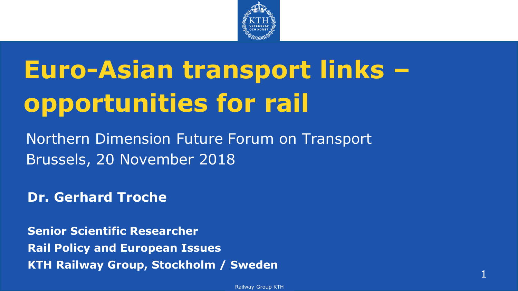

# **Euro-Asian transport links – opportunities for rail**

Northern Dimension Future Forum on Transport Brussels, 20 November 2018

**Dr. Gerhard Troche**

**Senior Scientific Researcher Rail Policy and European Issues KTH Railway Group, Stockholm / Sweden**

1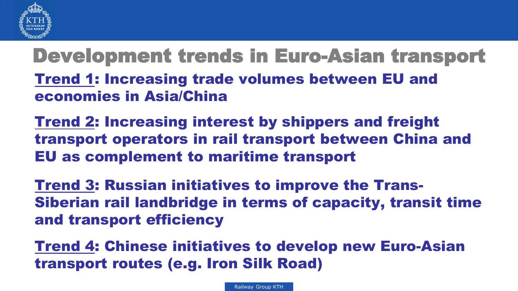

Development trends in Euro-Asian transport • Trend 1: Increasing trade volumes between EU and economies in Asia/China

• Trend 2: Increasing interest by shippers and freight transport operators in rail transport between China and EU as complement to maritime transport

**Trend 3: Russian initiatives to improve the Trans-**Siberian rail landbridge in terms of capacity, transit time and transport efficiency

• Trend 4: Chinese initiatives to develop new Euro-Asian transport routes (e.g. Iron Silk Road)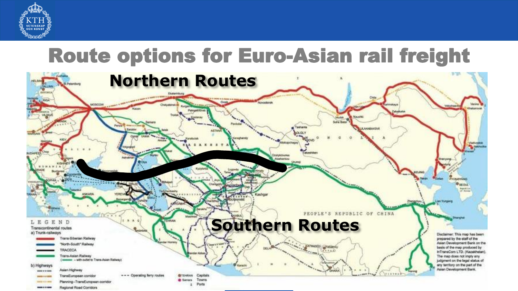

### Route options for Euro-Asian rail freight

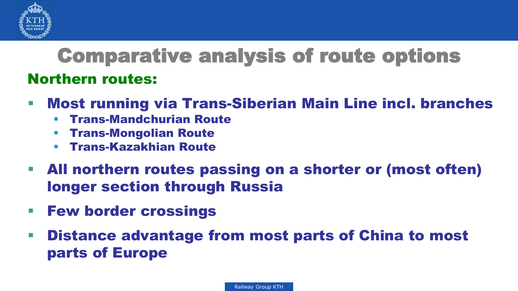

### Northern routes: Comparative analysis of route options

- Most running via Trans-Siberian Main Line incl. branches
	- Trans-Mandchurian Route
	- Trans-Mongolian Route
	- Trans-Kazakhian Route
- All northern routes passing on a shorter or (most often) longer section through Russia
- **Few border crossings**
- Distance advantage from most parts of China to most parts of Europe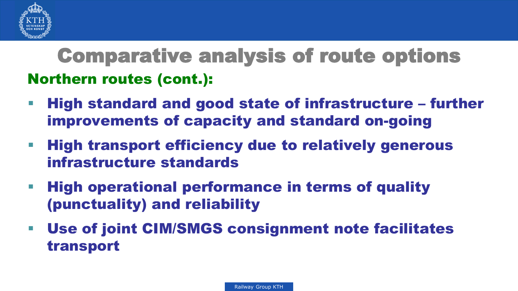

### Northern routes (cont.): Comparative analysis of route options

- High standard and good state of infrastructure further improvements of capacity and standard on-going
- **High transport efficiency due to relatively generous** infrastructure standards
- **High operational performance in terms of quality** (punctuality) and reliability
- Use of joint CIM/SMGS consignment note facilitates transport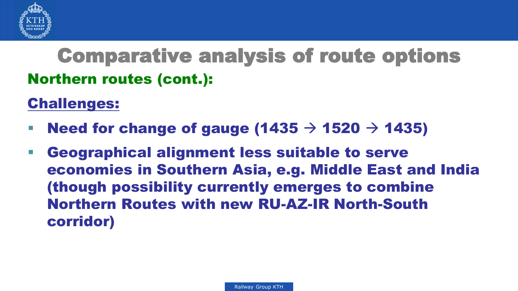

### Northern routes (cont.): Comparative analysis of route options

### Challenges:

- Need for change of gauge (1435  $\rightarrow$  1520  $\rightarrow$  1435)
- Geographical alignment less suitable to serve economies in Southern Asia, e.g. Middle East and India (though possibility currently emerges to combine Northern Routes with new RU-AZ-IR North-South corridor)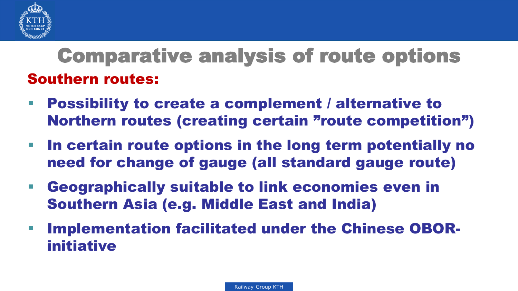

### Southern routes: Comparative analysis of route options

- Possibility to create a complement / alternative to Northern routes (creating certain "route competition")
- In certain route options in the long term potentially no need for change of gauge (all standard gauge route)
- Geographically suitable to link economies even in Southern Asia (e.g. Middle East and India)
- Implementation facilitated under the Chinese OBORinitiative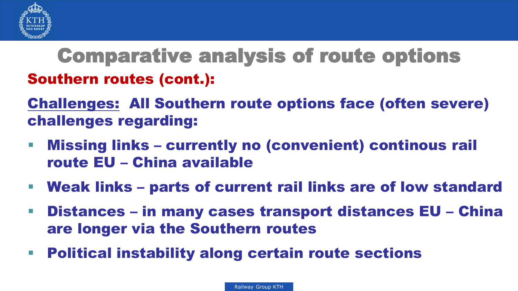

### Southern routes (cont.): Comparative analysis of route options

Challenges: All Southern route options face (often severe) challenges regarding:

- Missing links currently no (convenient) continous rail route EU – China available
- Weak links parts of current rail links are of low standard
- Distances in many cases transport distances EU China are longer via the Southern routes
- **Political instability along certain route sections**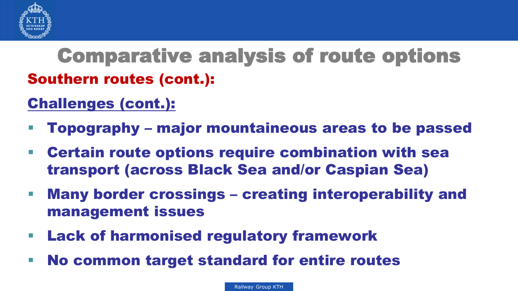

## Southern routes (cont.): Comparative analysis of route options

### Challenges (cont.):

- Topography major mountaineous areas to be passed
- Certain route options require combination with sea transport (across Black Sea and/or Caspian Sea)
- Many border crossings creating interoperability and management issues
- Lack of harmonised regulatory framework
- No common target standard for entire routes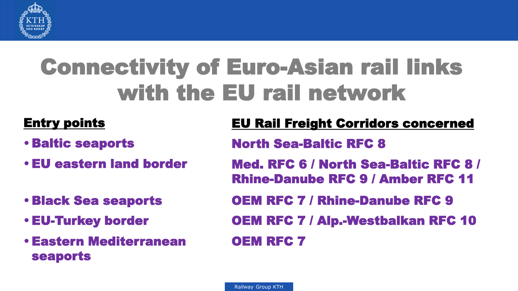

## Connectivity of Euro-Asian rail links with the EU rail network

- Baltic seaports
- EU eastern land border
- Black Sea seaports
- EU-Turkey border
- Eastern Mediterranean seaports

### Entry points EU Rail Freight Corridors concerned

North Sea-Baltic RFC 8

- Med. RFC 6 / North Sea-Baltic RFC 8 / Rhine-Danube RFC 9 / Amber RFC 11
- OEM RFC 7 / Rhine-Danube RFC 9
- OEM RFC 7 / Alp.-Westbalkan RFC 10

OEM RFC 7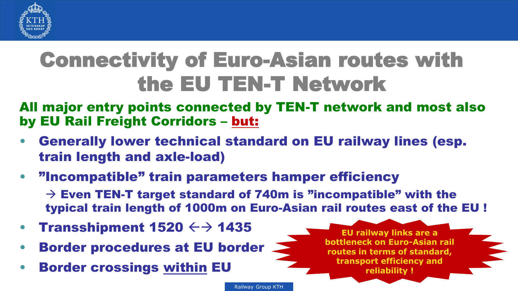

## Connectivity of Euro-Asian routes with the EU TEN-T Network

All major entry points connected by TEN-T network and most also by EU Rail Freight Corridors – but:

- Generally lower technical standard on EU railway lines (esp. train length and axle-load)
- "Incompatible" train parameters hamper efficiency

 $\rightarrow$  Even TEN-T target standard of 740m is "incompatible" with the typical train length of 1000m on Euro-Asian rail routes east of the EU !

Railway Group KTH

- **Transshipment 1520**  $\leftrightarrow$  **1435**
- Border procedures at EU border
- **Border crossings within EU**

**EU railway links are a bottleneck on Euro-Asian rail routes in terms of standard, transport efficiency and reliability !**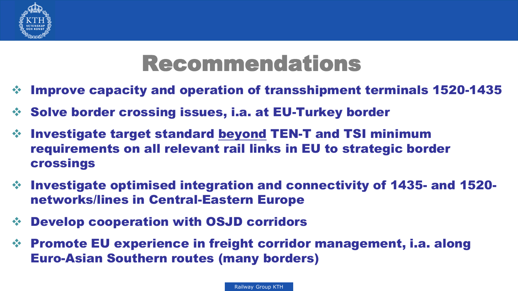

## Recommendations

- $\div$  Improve capacity and operation of transshipment terminals 1520-1435
- $\div$  Solve border crossing issues, i.a. at EU-Turkey border
- Investigate target standard beyond TEN-T and TSI minimum requirements on all relevant rail links in EU to strategic border crossings
- $\div$  Investigate optimised integration and connectivity of 1435- and 1520networks/lines in Central-Eastern Europe
- Develop cooperation with OSJD corridors
- $\div$  Promote EU experience in freight corridor management, i.a. along Euro-Asian Southern routes (many borders)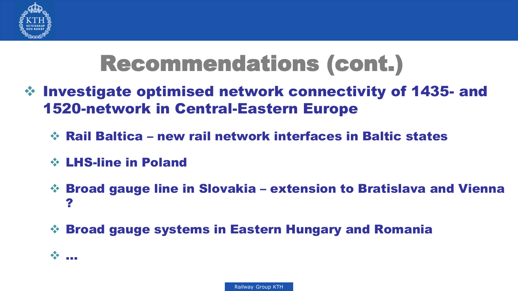

## Recommendations (cont.)

- $\div$  Investigate optimised network connectivity of 1435- and 1520-network in Central-Eastern Europe
	- Rail Baltica new rail network interfaces in Baltic states
	- LHS-line in Poland
	- Broad gauge line in Slovakia extension to Bratislava and Vienna ?
	- Broad gauge systems in Eastern Hungary and Romania

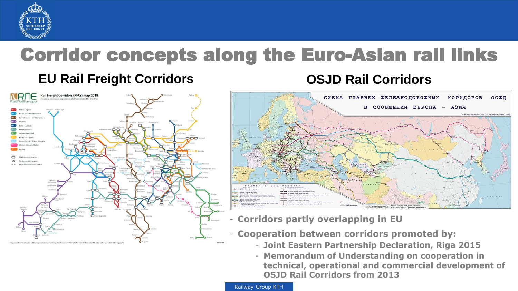

# Corridor concepts along the Euro-Asian rail links

### **EU Rail Freight Corridors OSJD Rail Corridors**





- **Corridors partly overlapping in EU**
- **Cooperation between corridors promoted by:**
	- **Joint Eastern Partnership Declaration, Riga 2015**
	- **Memorandum of Understanding on cooperation in technical, operational and commercial development of OSJD Rail Corridors from 2013**

Railway Group KTH